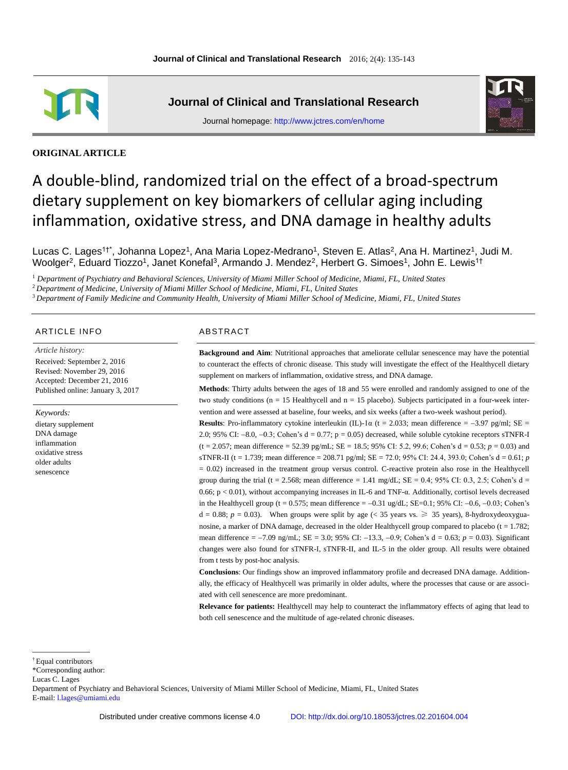

**Journal of Clinical and Translational Research**





**ORIGINAL ARTICLE**

# A double-blind, randomized trial on the effect of a broad-spectrum dietary supplement on key biomarkers of cellular aging including inflammation, oxidative stress, and DNA damage in healthy adults

Lucas C. Lages<sup>1†\*</sup>, Johanna Lopez<sup>1</sup>, Ana Maria Lopez-Medrano<sup>1</sup>, Steven E. Atlas<sup>2</sup>, Ana H. Martinez<sup>1</sup>, Judi M. Woolger<sup>2</sup>, Eduard Tiozzo<sup>1</sup>, Janet Konefal<sup>3</sup>, Armando J. Mendez<sup>2</sup>, Herbert G. Simoes<sup>1</sup>, John E. Lewis<sup>1†</sup>

<sup>1</sup> *Department of Psychiatry and Behavioral Sciences, University of Miami Miller School of Medicine, Miami, FL, United States*

<sup>2</sup>*Department of Medicine, University of Miami Miller School of Medicine, Miami, FL, United States*

<sup>3</sup>*Department of Family Medicine and Community Health, University of Miami Miller School of Medicine, Miami, FL, United States*

# ARTICLE INFO ABSTRACT

*Article history:* Received: September 2, 2016 Revised: November 29, 2016 Accepted: December 21, 2016 Published online: January 3, 2017

*Keywords:*

dietary supplement DNA damage inflammation oxidative stress older adults senescence

**Background and Aim**: Nutritional approaches that ameliorate cellular senescence may have the potential to counteract the effects of chronic disease. This study will investigate the effect of the Healthycell dietary supplement on markers of inflammation, oxidative stress, and DNA damage.

**Methods**: Thirty adults between the ages of 18 and 55 were enrolled and randomly assigned to one of the two study conditions ( $n = 15$  Healthycell and  $n = 15$  placebo). Subjects participated in a four-week intervention and were assessed at baseline, four weeks, and six weeks (after a two-week washout period).

**Results**: Pro-inflammatory cytokine interleukin (IL)-1 $\alpha$  (t = 2.033; mean difference = -3.97 pg/ml; SE = 2.0; 95% CI:  $-8.0$ ,  $-0.3$ ; Cohen's d = 0.77; p = 0.05) decreased, while soluble cytokine receptors sTNFR-I  $(t = 2.057;$  mean difference = 52.39 pg/mL; SE = 18.5; 95% CI: 5.2, 99.6; Cohen's d = 0.53;  $p = 0.03$ ) and sTNFR-II (t = 1.739; mean difference = 208.71 pg/ml; SE = 72.0; 95% CI: 24.4, 393.0; Cohen's d = 0.61; *p* = 0.02) increased in the treatment group versus control. C-reactive protein also rose in the Healthycell group during the trial (t = 2.568; mean difference = 1.41 mg/dL;  $SE = 0.4$ ; 95% CI: 0.3, 2.5; Cohen's d = 0.66; p < 0.01), without accompanying increases in IL-6 and TNF-α. Additionally, cortisol levels decreased in the Healthycell group (t = 0.575; mean difference =  $-0.31$  ug/dL; SE=0.1; 95% CI:  $-0.6$ ,  $-0.03$ ; Cohen's d = 0.88;  $p = 0.03$ ). When groups were split by age (< 35 years vs.  $\geq 35$  years), 8-hydroxydeoxyguanosine, a marker of DNA damage, decreased in the older Healthycell group compared to placebo ( $t = 1.782$ ; mean difference = -7.09 ng/mL; SE = 3.0; 95% CI: -13.3, -0.9; Cohen's d = 0.63; *p* = 0.03). Significant changes were also found for sTNFR-I, sTNFR-II, and IL-5 in the older group. All results were obtained from t tests by post-hoc analysis.

**Conclusions**: Our findings show an improved inflammatory profile and decreased DNA damage. Additionally, the efficacy of Healthycell was primarily in older adults, where the processes that cause or are associated with cell senescence are more predominant.

**Relevance for patients:** Healthycell may help to counteract the inflammatory effects of aging that lead to both cell senescence and the multitude of age-related chronic diseases.

 $\overline{a}$ 

Department of Psychiatry and Behavioral Sciences, University of Miami Miller School of Medicine, Miami, FL, United States E-mail: [l.lages@umiami.edu](mailto:l.lages@umiami.edu)

<sup>†</sup> Equal contributors

<sup>\*</sup>Corresponding author:

Lucas C. Lages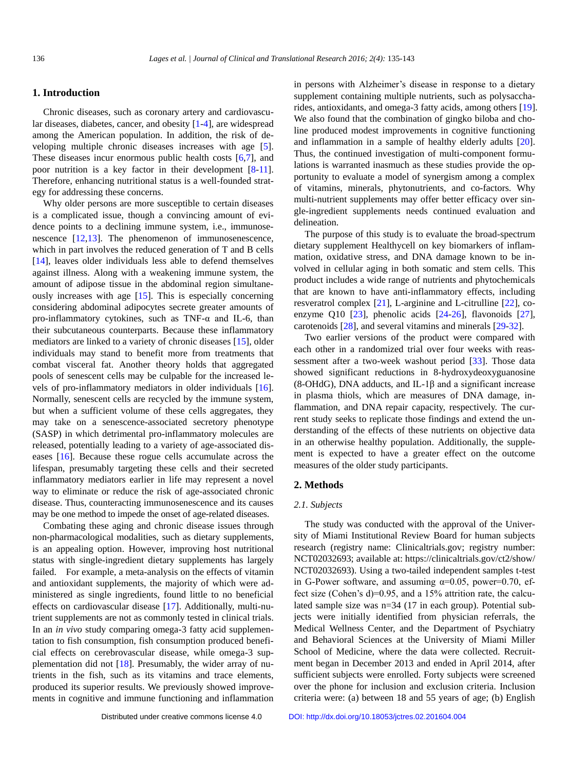# **1. Introduction**

Chronic diseases, such as coronary artery and cardiovascular diseases, diabetes, cancer, and obesity [\[1](#page-7-0)[-4\]](#page-7-1), are widespread among the American population. In addition, the risk of developing multiple chronic diseases increases with age [\[5\]](#page-7-2). These diseases incur enormous public health costs [\[6,](#page-7-3)[7\]](#page-7-4), and poor nutrition is a key factor in their development [\[8](#page-7-5)[-11\]](#page-7-6). Therefore, enhancing nutritional status is a well-founded strategy for addressing these concerns.

Why older persons are more susceptible to certain diseases is a complicated issue, though a convincing amount of evidence points to a declining immune system, i.e., immunosenescence [\[12,](#page-7-7)[13\]](#page-7-8). The phenomenon of immunosenescence, which in part involves the reduced generation of T and B cells [\[14\]](#page-7-9), leaves older individuals less able to defend themselves against illness. Along with a weakening immune system, the amount of adipose tissue in the abdominal region simultaneously increases with age [\[15\]](#page-7-10). This is especially concerning considering abdominal adipocytes secrete greater amounts of pro-inflammatory cytokines, such as TNF-α and IL-6, than their subcutaneous counterparts. Because these inflammatory mediators are linked to a variety of chronic diseases [\[15\]](#page-7-10), older individuals may stand to benefit more from treatments that combat visceral fat. Another theory holds that aggregated pools of senescent cells may be culpable for the increased levels of pro-inflammatory mediators in older individuals [\[16\]](#page-7-11). Normally, senescent cells are recycled by the immune system, but when a sufficient volume of these cells aggregates, they may take on a senescence-associated secretory phenotype (SASP) in which detrimental pro-inflammatory molecules are released, potentially leading to a variety of age-associated diseases [\[16\]](#page-7-11). Because these rogue cells accumulate across the lifespan, presumably targeting these cells and their secreted inflammatory mediators earlier in life may represent a novel way to eliminate or reduce the risk of age-associated chronic disease. Thus, counteracting immunosenescence and its causes may be one method to impede the onset of age-related diseases.

Combating these aging and chronic disease issues through non-pharmacological modalities, such as dietary supplements, is an appealing option. However, improving host nutritional status with single-ingredient dietary supplements has largely failed. For example, a meta-analysis on the effects of vitamin and antioxidant supplements, the majority of which were administered as single ingredients, found little to no beneficial effects on cardiovascular disease [\[17\]](#page-7-12). Additionally, multi-nutrient supplements are not as commonly tested in clinical trials. In an *in vivo* study comparing omega-3 fatty acid supplementation to fish consumption, fish consumption produced beneficial effects on cerebrovascular disease, while omega-3 supplementation did not [\[18\]](#page-7-13). Presumably, the wider array of nutrients in the fish, such as its vitamins and trace elements, produced its superior results. We previously showed improvements in cognitive and immune functioning and inflammation in persons with Alzheimer's disease in response to a dietary supplement containing multiple nutrients, such as polysaccharides, antioxidants, and omega-3 fatty acids, among others [\[19\]](#page-7-14). We also found that the combination of gingko biloba and choline produced modest improvements in cognitive functioning and inflammation in a sample of healthy elderly adults [\[20\]](#page-7-15). Thus, the continued investigation of multi-component formulations is warranted inasmuch as these studies provide the opportunity to evaluate a model of synergism among a complex of vitamins, minerals, phytonutrients, and co-factors. Why multi-nutrient supplements may offer better efficacy over single-ingredient supplements needs continued evaluation and delineation.

The purpose of this study is to evaluate the broad-spectrum dietary supplement Healthycell on key biomarkers of inflammation, oxidative stress, and DNA damage known to be involved in cellular aging in both somatic and stem cells. This product includes a wide range of nutrients and phytochemicals that are known to have anti-inflammatory effects, including resveratrol complex [\[21\]](#page-7-16), L-arginine and L-citrulline [\[22\]](#page-8-0), coenzyme Q10 [\[23\]](#page-8-1), phenolic acids [\[24](#page-8-2)[-26\]](#page-8-3), flavonoids [\[27\]](#page-8-4), carotenoids [\[28\]](#page-8-5), and several vitamins and minerals [\[29-](#page-8-6)[32\]](#page-8-7).

Two earlier versions of the product were compared with each other in a randomized trial over four weeks with reassessment after a two-week washout period [\[33\]](#page-8-8). Those data showed significant reductions in 8-hydroxydeoxyguanosine (8-OHdG), DNA adducts, and IL-1 $\beta$  and a significant increase in plasma thiols, which are measures of DNA damage, inflammation, and DNA repair capacity, respectively. The current study seeks to replicate those findings and extend the understanding of the effects of these nutrients on objective data in an otherwise healthy population. Additionally, the supplement is expected to have a greater effect on the outcome measures of the older study participants.

# **2. Methods**

# *2.1. Subjects*

The study was conducted with the approval of the University of Miami Institutional Review Board for human subjects research (registry name: Clinicaltrials.gov; registry number: NCT02032693; available at: https://clinicaltrials.gov/ct2/show/ NCT02032693). Using a two-tailed independent samples t-test in G-Power software, and assuming  $\alpha$ =0.05, power=0.70, effect size (Cohen's d)=0.95, and a 15% attrition rate, the calculated sample size was n=34 (17 in each group). Potential subjects were initially identified from physician referrals, the Medical Wellness Center, and the Department of Psychiatry and Behavioral Sciences at the University of Miami Miller School of Medicine, where the data were collected. Recruitment began in December 2013 and ended in April 2014, after sufficient subjects were enrolled. Forty subjects were screened over the phone for inclusion and exclusion criteria. Inclusion criteria were: (a) between 18 and 55 years of age; (b) English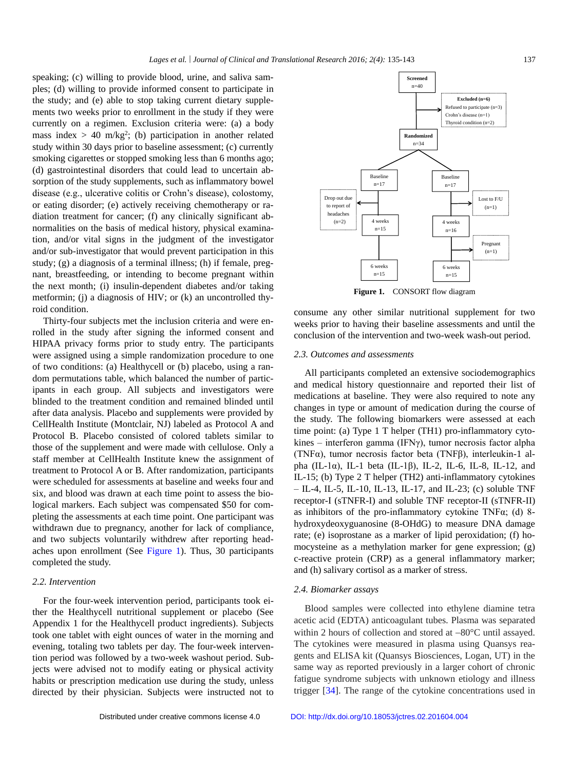speaking; (c) willing to provide blood, urine, and saliva samples; (d) willing to provide informed consent to participate in the study; and (e) able to stop taking current dietary supplements two weeks prior to enrollment in the study if they were currently on a regimen. Exclusion criteria were: (a) a body mass index  $> 40$  m/kg<sup>2</sup>; (b) participation in another related study within 30 days prior to baseline assessment; (c) currently smoking cigarettes or stopped smoking less than 6 months ago; (d) gastrointestinal disorders that could lead to uncertain absorption of the study supplements, such as inflammatory bowel disease (e.g., ulcerative colitis or Crohn's disease), colostomy, or eating disorder; (e) actively receiving chemotherapy or radiation treatment for cancer; (f) any clinically significant abnormalities on the basis of medical history, physical examination, and/or vital signs in the judgment of the investigator and/or sub-investigator that would prevent participation in this study; (g) a diagnosis of a terminal illness; (h) if female, pregnant, breastfeeding, or intending to become pregnant within the next month; (i) insulin-dependent diabetes and/or taking metformin; (j) a diagnosis of HIV; or (k) an uncontrolled thyroid condition.

Thirty-four subjects met the inclusion criteria and were enrolled in the study after signing the informed consent and HIPAA privacy forms prior to study entry. The participants were assigned using a simple randomization procedure to one of two conditions: (a) Healthycell or (b) placebo, using a random permutations table, which balanced the number of participants in each group. All subjects and investigators were blinded to the treatment condition and remained blinded until after data analysis. Placebo and supplements were provided by CellHealth Institute (Montclair, NJ) labeled as Protocol A and Protocol B. Placebo consisted of colored tablets similar to those of the supplement and were made with cellulose. Only a staff member at CellHealth Institute knew the assignment of treatment to Protocol A or B. After randomization, participants were scheduled for assessments at baseline and weeks four and six, and blood was drawn at each time point to assess the biological markers. Each subject was compensated \$50 for completing the assessments at each time point. One participant was withdrawn due to pregnancy, another for lack of compliance, and two subjects voluntarily withdrew after reporting headaches upon enrollment (See [Figure](#page-2-0) 1). Thus, 30 participants completed the study.

### *2.2. Intervention*

For the four-week intervention period, participants took either the Healthycell nutritional supplement or placebo (See Appendix 1 for the Healthycell product ingredients). Subjects took one tablet with eight ounces of water in the morning and evening, totaling two tablets per day. The four-week intervention period was followed by a two-week washout period. Subjects were advised not to modify eating or physical activity habits or prescription medication use during the study, unless directed by their physician. Subjects were instructed not to

<span id="page-2-0"></span>

**Figure 1.** CONSORT flow diagram

consume any other similar nutritional supplement for two weeks prior to having their baseline assessments and until the conclusion of the intervention and two-week wash-out period.

# *2.3. Outcomes and assessments*

All participants completed an extensive sociodemographics and medical history questionnaire and reported their list of medications at baseline. They were also required to note any changes in type or amount of medication during the course of the study. The following biomarkers were assessed at each time point: (a) Type 1 T helper (TH1) pro-inflammatory cytokines – interferon gamma (IFN $\gamma$ ), tumor necrosis factor alpha (TNFα), tumor necrosis factor beta (TNFβ), interleukin-1 alpha (IL-1α), IL-1 beta (IL-1β), IL-2, IL-6, IL-8, IL-12, and IL-15; (b) Type 2 T helper (TH2) anti-inflammatory cytokines – IL-4, IL-5, IL-10, IL-13, IL-17, and IL-23; (c) soluble TNF receptor-I (sTNFR-I) and soluble TNF receptor-II (sTNFR-II) as inhibitors of the pro-inflammatory cytokine TNFα; (d) 8 hydroxydeoxyguanosine (8-OHdG) to measure DNA damage rate; (e) isoprostane as a marker of lipid peroxidation; (f) homocysteine as a methylation marker for gene expression; (g) c-reactive protein (CRP) as a general inflammatory marker; and (h) salivary cortisol as a marker of stress.

#### *2.4. Biomarker assays*

Blood samples were collected into ethylene diamine tetra acetic acid (EDTA) anticoagulant tubes. Plasma was separated within 2 hours of collection and stored at  $-80^{\circ}$ C until assayed. The cytokines were measured in plasma using Quansys reagents and ELISA kit (Quansys Biosciences, Logan, UT) in the same way as reported previously in a larger cohort of chronic fatigue syndrome subjects with unknown etiology and illness trigger [\[34\]](#page-8-9). The range of the cytokine concentrations used in

Distributed under creative commons license 4.0 [DOI: http://dx.doi.org/10.18053/jctres.02.201604.004](http://dx.doi.org/10.18053/jctres.02.201604.004)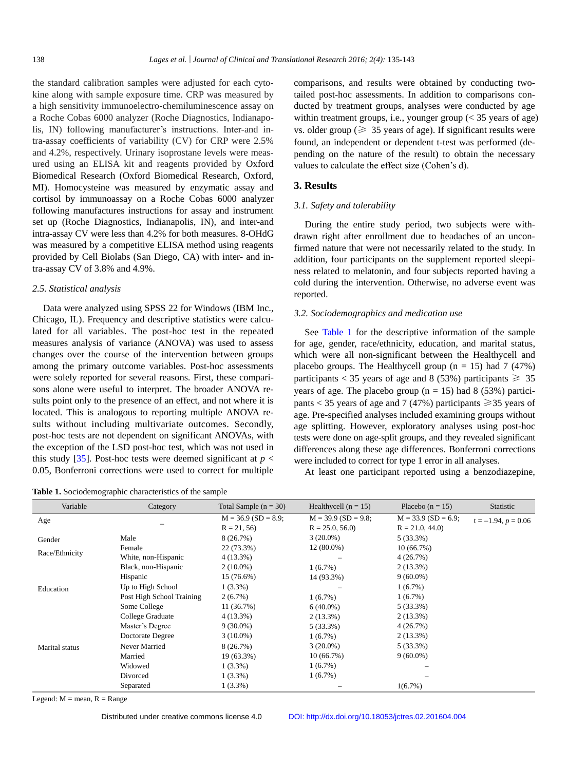the standard calibration samples were adjusted for each cytokine along with sample exposure time. CRP was measured by a high sensitivity immunoelectro-chemiluminescence assay on a Roche Cobas 6000 analyzer (Roche Diagnostics, Indianapolis, IN) following manufacturer's instructions. Inter-and intra-assay coefficients of variability (CV) for CRP were 2.5% and 4.2%, respectively. Urinary isoprostane levels were measured using an ELISA kit and reagents provided by Oxford Biomedical Research (Oxford Biomedical Research, Oxford, MI). Homocysteine was measured by enzymatic assay and cortisol by immunoassay on a Roche Cobas 6000 analyzer following manufactures instructions for assay and instrument set up (Roche Diagnostics, Indianapolis, IN), and inter-and intra-assay CV were less than 4.2% for both measures. 8-OHdG was measured by a competitive ELISA method using reagents provided by Cell Biolabs (San Diego, CA) with inter- and intra-assay CV of 3.8% and 4.9%.

#### *2.5. Statistical analysis*

Data were analyzed using SPSS 22 for Windows (IBM Inc., Chicago, IL). Frequency and descriptive statistics were calculated for all variables. The post-hoc test in the repeated measures analysis of variance (ANOVA) was used to assess changes over the course of the intervention between groups among the primary outcome variables. Post-hoc assessments were solely reported for several reasons. First, these comparisons alone were useful to interpret. The broader ANOVA results point only to the presence of an effect, and not where it is located. This is analogous to reporting multiple ANOVA results without including multivariate outcomes. Secondly, post-hoc tests are not dependent on significant ANOVAs, with the exception of the LSD post-hoc test, which was not used in this study [\[35\]](#page-8-10). Post-hoc tests were deemed significant at  $p <$ 0.05, Bonferroni corrections were used to correct for multiple

<span id="page-3-0"></span>**Table 1.** Sociodemographic characteristics of the sample

comparisons, and results were obtained by conducting twotailed post-hoc assessments. In addition to comparisons conducted by treatment groups, analyses were conducted by age within treatment groups, i.e., younger group  $\ll$  35 years of age) vs. older group ( $\geq 35$  years of age). If significant results were found, an independent or dependent t-test was performed (depending on the nature of the result) to obtain the necessary values to calculate the effect size (Cohen's d).

# **3. Results**

#### *3.1. Safety and tolerability*

During the entire study period, two subjects were withdrawn right after enrollment due to headaches of an unconfirmed nature that were not necessarily related to the study. In addition, four participants on the supplement reported sleepiness related to melatonin, and four subjects reported having a cold during the intervention. Otherwise, no adverse event was reported.

# *3.2. Sociodemographics and medication use*

See [Table 1](#page-3-0) for the descriptive information of the sample for age, gender, race/ethnicity, education, and marital status, which were all non-significant between the Healthycell and placebo groups. The Healthycell group  $(n = 15)$  had 7 (47%) participants < 35 years of age and 8 (53%) participants  $\geq$  35 years of age. The placebo group ( $n = 15$ ) had 8 (53%) participants < 35 years of age and 7 (47%) participants  $\geq$  35 years of age. Pre-specified analyses included examining groups without age splitting. However, exploratory analyses using post-hoc tests were done on age-split groups, and they revealed significant differences along these age differences. Bonferroni corrections were included to correct for type 1 error in all analyses.

At least one participant reported using a benzodiazepine,

| <b>Radio 1.</b> Doctouchlographic characteristics of the sample |                           |                         |                        |                       |                       |  |
|-----------------------------------------------------------------|---------------------------|-------------------------|------------------------|-----------------------|-----------------------|--|
| Variable                                                        | Category                  | Total Sample $(n = 30)$ | Healthycell $(n = 15)$ | Placebo $(n = 15)$    | Statistic             |  |
| Age                                                             |                           | $M = 36.9$ (SD = 8.9;   | $M = 39.9$ (SD = 9.8;  | $M = 33.9$ (SD = 6.9; | $t = -1.94, p = 0.06$ |  |
|                                                                 |                           | $R = 21, 56$            | $R = 25.0, 56.0$       | $R = 21.0, 44.0$      |                       |  |
| Gender                                                          | Male                      | 8 (26.7%)               | $3(20.0\%)$            | 5(33.3%)              |                       |  |
| Race/Ethnicity                                                  | Female                    | 22 (73.3%)              | $12(80.0\%)$           | 10(66.7%)             |                       |  |
|                                                                 | White, non-Hispanic       | 4(13.3%)                |                        | 4(26.7%)              |                       |  |
|                                                                 | Black, non-Hispanic       | $2(10.0\%)$             | $1(6.7\%)$             | $2(13.3\%)$           |                       |  |
|                                                                 | Hispanic                  | 15 (76.6%)              | 14 (93.3%)             | $9(60.0\%)$           |                       |  |
| Education                                                       | Up to High School         | $1(3.3\%)$              |                        | 1(6.7%)               |                       |  |
|                                                                 | Post High School Training | 2(6.7%)                 | $1(6.7\%)$             | 1(6.7%)               |                       |  |
|                                                                 | Some College              | 11(36.7%)               | $6(40.0\%)$            | 5(33.3%)              |                       |  |
|                                                                 | College Graduate          | $4(13.3\%)$             | $2(13.3\%)$            | $2(13.3\%)$           |                       |  |
|                                                                 | Master's Degree           | $9(30.0\%)$             | 5 (33.3%)              | 4(26.7%)              |                       |  |
|                                                                 | Doctorate Degree          | $3(10.0\%)$             | $1(6.7\%)$             | $2(13.3\%)$           |                       |  |
| Marital status                                                  | Never Married             | 8(26.7%)                | $3(20.0\%)$            | 5(33.3%)              |                       |  |
|                                                                 | Married                   | 19 (63.3%)              | 10(66.7%)              | $9(60.0\%)$           |                       |  |
|                                                                 | Widowed                   | $1(3.3\%)$              | $1(6.7\%)$             |                       |                       |  |
|                                                                 | Divorced                  | $1(3.3\%)$              | $1(6.7\%)$             |                       |                       |  |
|                                                                 | Separated                 | $1(3.3\%)$              |                        | $1(6.7\%)$            |                       |  |

Legend:  $M =$  mean,  $R =$  Range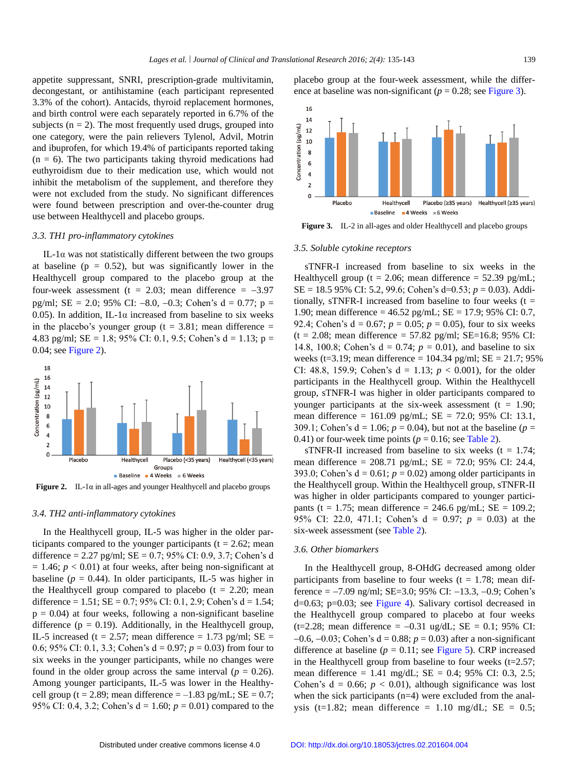appetite suppressant, SNRI, prescription-grade multivitamin, decongestant, or antihistamine (each participant represented 3.3% of the cohort). Antacids, thyroid replacement hormones, and birth control were each separately reported in 6.7% of the subjects  $(n = 2)$ . The most frequently used drugs, grouped into one category, were the pain relievers Tylenol, Advil, Motrin and ibuprofen, for which 19.4% of participants reported taking  $(n = 6)$ . The two participants taking thyroid medications had euthyroidism due to their medication use, which would not inhibit the metabolism of the supplement, and therefore they were not excluded from the study. No significant differences were found between prescription and over-the-counter drug use between Healthycell and placebo groups.

#### *3.3. TH1 pro-inflammatory cytokines*

IL-1α was not statistically different between the two groups at baseline ( $p = 0.52$ ), but was significantly lower in the Healthycell group compared to the placebo group at the four-week assessment (t = 2.03; mean difference =  $-3.97$ pg/ml; SE = 2.0; 95% CI: -8.0, -0.3; Cohen's  $d = 0.77$ ; p = 0.05). In addition, IL-1 $\alpha$  increased from baseline to six weeks in the placebo's younger group ( $t = 3.81$ ; mean difference = 4.83 pg/ml;  $SE = 1.8$ ; 95% CI: 0.1, 9.5; Cohen's d = 1.13; p = 0.04; see [Figure](#page-4-0) 2).

<span id="page-4-0"></span>

**Figure 2.** IL-1α in all-ages and younger Healthycell and placebo groups

#### *3.4. TH2 anti-inflammatory cytokines*

In the Healthycell group, IL-5 was higher in the older participants compared to the younger participants ( $t = 2.62$ ; mean difference =  $2.27$  pg/ml; SE = 0.7; 95% CI: 0.9, 3.7; Cohen's d  $= 1.46$ ;  $p < 0.01$ ) at four weeks, after being non-significant at baseline ( $p = 0.44$ ). In older participants, IL-5 was higher in the Healthycell group compared to placebo  $(t = 2.20; \text{ mean})$ difference = 1.51;  $SE = 0.7$ ; 95% CI: 0.1, 2.9; Cohen's d = 1.54;  $p = 0.04$ ) at four weeks, following a non-significant baseline difference ( $p = 0.19$ ). Additionally, in the Healthycell group, IL-5 increased (t = 2.57; mean difference = 1.73 pg/ml;  $SE =$ 0.6; 95% CI: 0.1, 3.3; Cohen's d = 0.97; *p* = 0.03) from four to six weeks in the younger participants, while no changes were found in the older group across the same interval ( $p = 0.26$ ). Among younger participants, IL-5 was lower in the Healthycell group (t = 2.89; mean difference =  $-1.83$  pg/mL; SE = 0.7; 95% CI: 0.4, 3.2; Cohen's d = 1.60; *p* = 0.01) compared to the

placebo group at the four-week assessment, while the difference at baseline was non-significant ( $p = 0.28$ ; see [Figure](#page-4-1) 3).

<span id="page-4-1"></span>

**Figure 3.** IL-2 in all-ages and older Healthycell and placebo groups

#### *3.5. Soluble cytokine receptors*

sTNFR-I increased from baseline to six weeks in the Healthycell group ( $t = 2.06$ ; mean difference = 52.39 pg/mL; SE = 18.5 95% CI: 5.2, 99.6; Cohen's d=0.53; *p* = 0.03). Additionally, sTNFR-I increased from baseline to four weeks  $(t =$ 1.90; mean difference = 46.52 pg/mL; SE = 17.9; 95% CI: 0.7, 92.4; Cohen's  $d = 0.67$ ;  $p = 0.05$ ;  $p = 0.05$ ), four to six weeks  $(t = 2.08; \text{ mean difference} = 57.82 \text{ pg/ml}; \text{ SE} = 16.8; 95\% \text{ CI}:$ 14.8, 100.8; Cohen's  $d = 0.74$ ;  $p = 0.01$ ), and baseline to six weeks (t=3.19; mean difference =  $104.34$  pg/ml; SE =  $21.7$ ; 95% CI: 48.8, 159.9; Cohen's  $d = 1.13$ ;  $p < 0.001$ ), for the older participants in the Healthycell group. Within the Healthycell group, sTNFR-I was higher in older participants compared to younger participants at the six-week assessment ( $t = 1.90$ ; mean difference = 161.09 pg/mL; SE = 72.0; 95% CI: 13.1, 309.1; Cohen's  $d = 1.06$ ;  $p = 0.04$ ), but not at the baseline ( $p =$ 0.41) or four-week time points ( $p = 0.16$ ; see [Table 2\)](#page-5-0).

sTNFR-II increased from baseline to six weeks  $(t = 1.74$ ; mean difference = 208.71 pg/mL; SE = 72.0; 95% CI: 24.4, 393.0; Cohen's  $d = 0.61$ ;  $p = 0.02$ ) among older participants in the Healthycell group. Within the Healthycell group, sTNFR-II was higher in older participants compared to younger participants (t = 1.75; mean difference = 246.6 pg/mL;  $SE = 109.2$ ; 95% CI: 22.0, 471.1; Cohen's d = 0.97; *p* = 0.03) at the six-week assessment (see [Table 2\)](#page-5-0).

#### *3.6. Other biomarkers*

In the Healthycell group, 8-OHdG decreased among older participants from baseline to four weeks ( $t = 1.78$ ; mean difference =  $-7.09$  ng/ml; SE=3.0; 95% CI:  $-13.3$ ,  $-0.9$ ; Cohen's d=0.63; p=0.03; see [Figure](#page-5-1) 4). Salivary cortisol decreased in the Healthycell group compared to placebo at four weeks (t=2.28; mean difference =  $-0.31$  ug/dL; SE = 0.1; 95% CI:  $-0.6, -0.03$ ; Cohen's d = 0.88;  $p = 0.03$ ) after a non-significant difference at baseline ( $p = 0.11$ ; see [Figure](#page-5-2) 5). CRP increased in the Healthycell group from baseline to four weeks  $(t=2.57)$ ; mean difference = 1.41 mg/dL; SE = 0.4; 95% CI: 0.3, 2.5; Cohen's  $d = 0.66$ ;  $p < 0.01$ ), although significance was lost when the sick participants (n=4) were excluded from the analysis (t=1.82; mean difference = 1.10 mg/dL;  $SE = 0.5$ ;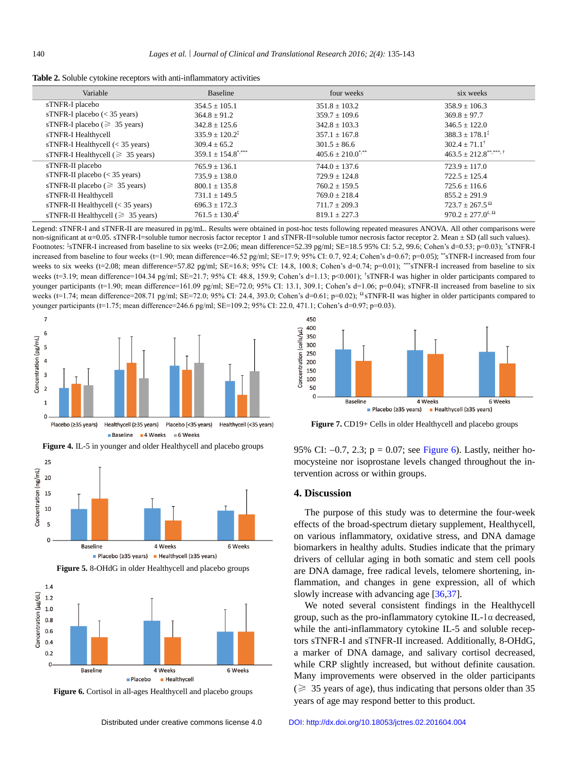| Variable                                | Baseline                          | four weeks                       | six weeks                                       |
|-----------------------------------------|-----------------------------------|----------------------------------|-------------------------------------------------|
| sTNFR-I placebo                         | $354.5 \pm 105.1$                 | $351.8 \pm 103.2$                | $358.9 \pm 106.3$                               |
| sTNFR-I placebo $(< 35$ years)          | $364.8 \pm 91.2$                  | $359.7 \pm 109.6$                | $369.8 \pm 97.7$                                |
| sTNFR-I placebo ( $\geq 35$ years)      | $342.8 \pm 125.6$                 | $342.8 \pm 103.3$                | $346.5 \pm 122.0$                               |
| sTNFR-I Healthycell                     | $335.9 \pm 120.2^{\ddagger}$      | $357.1 \pm 167.8$                | $388.3 \pm 178.1^{\ddagger}$                    |
| sTNFR-I Healthycell $(< 35$ years)      | $309.4 \pm 65.2$                  | $301.5 \pm 86.6$                 | $302.4 \pm 71.1^{\dagger}$                      |
| sTNFR-I Healthycell ( $\geq 35$ years)  | $359.1 \pm 154.8$ <sup>****</sup> | $405.6 \pm 210.0$ <sup>***</sup> |                                                 |
| sTNFR-II placebo                        | $765.9 \pm 136.1$                 | $744.0 \pm 137.6$                | $723.9 \pm 117.0$                               |
| sTNFR-II placebo $(< 35$ years)         | $735.9 \pm 138.0$                 | $729.9 \pm 124.8$                | $722.5 \pm 125.4$                               |
| sTNFR-II placebo ( $\geq 35$ years)     | $800.1 \pm 135.8$                 | $760.2 \pm 159.5$                | $725.6 \pm 116.6$                               |
| sTNFR-II Healthycell                    | $731.1 \pm 149.5$                 | $769.0 \pm 218.4$                | $855.2 \pm 291.9$                               |
| sTNFR-II Healthycell $(< 35$ years)     | $696.3 \pm 172.3$                 | $711.7 \pm 209.3$                | $723.7 \pm 267.5^{\Omega}$                      |
| sTNFR-II Healthycell ( $\geq 35$ years) | $761.5 \pm 130.4^{\text{£}}$      | $819.1 \pm 227.3$                | 970.2 ± 277.0 <sup>£, <math>\Omega</math></sup> |

<span id="page-5-0"></span>**Table 2.** Soluble cytokine receptors with anti-inflammatory activities

Legend: sTNFR-I and sTNFR-II are measured in pg/mL. Results were obtained in post-hoc tests following repeated measures ANOVA. All other comparisons were non-significant at α=0.05. sTNFR-I=soluble tumor necrosis factor receptor 1 and sTNFR-II=soluble tumor necrosis factor receptor 2. Mean ± SD (all such values). Footnotes:  $*$ sTNFR-I increased from baseline to six weeks (t=2.06; mean difference=52.39 pg/ml; SE=18.5 95% CI: 5.2, 99.6; Cohen's d=0.53; p=0.03); \*sTNFR-I increased from baseline to four weeks (t=1.90; mean difference=46.52 pg/ml; SE=17.9; 95% CI: 0.7, 92.4; Cohen's d=0.67; p=0.05); \*\* STNFR-I increased from four weeks to six weeks (t=2.08; mean difference=57.82 pg/ml; SE=16.8; 95% CI: 14.8, 100.8; Cohen's d=0.74; p=0.01); \*\*\* STNFR-I increased from baseline to six weeks (t=3.19; mean difference=104.34 pg/ml; SE=21.7; 95% CI: 48.8, 159.9; Cohen's d=1.13; p<0.001); <sup>†</sup>sTNFR-I was higher in older participants compared to younger participants (t=1.90; mean difference=161.09 pg/ml; SE=72.0; 95% CI: 13.1, 309.1; Cohen's d=1.06; p=0.04); sTNFR-II increased from baseline to six weeks (t=1.74; mean difference=208.71 pg/ml; SE=72.0; 95% CI: 24.4, 393.0; Cohen's d=0.61; p=0.02); <sup>Ω</sup>sTNFR-II was higher in older participants compared to younger participants (t=1.75; mean difference=246.6 pg/ml; SE=109.2; 95% CI: 22.0, 471.1; Cohen's d=0.97; p=0.03).

<span id="page-5-1"></span>

<span id="page-5-2"></span>



<span id="page-5-3"></span>

**Figure 5.** 8-OHdG in older Healthycell and placebo groups

■ Placebo (≥35 years) ■ Healthycell (≥35 years)

**Figure 6.** Cortisol in all-ages Healthycell and placebo groups



**Figure 7.** CD19+ Cells in older Healthycell and placebo groups

95% CI:  $-0.7$ , 2.3; p = 0.07; see [Figure](#page-5-3) 6). Lastly, neither homocysteine nor isoprostane levels changed throughout the intervention across or within groups.

# **4. Discussion**

The purpose of this study was to determine the four-week effects of the broad-spectrum dietary supplement, Healthycell, on various inflammatory, oxidative stress, and DNA damage biomarkers in healthy adults. Studies indicate that the primary drivers of cellular aging in both somatic and stem cell pools are DNA damage, free radical levels, telomere shortening, inflammation, and changes in gene expression, all of which slowly increase with advancing age [\[36,](#page-8-11)[37\]](#page-8-12).

We noted several consistent findings in the Healthycell group, such as the pro-inflammatory cytokine IL-1α decreased, while the anti-inflammatory cytokine IL-5 and soluble receptors sTNFR-I and sTNFR-II increased. Additionally, 8-OHdG, a marker of DNA damage, and salivary cortisol decreased, while CRP slightly increased, but without definite causation. Many improvements were observed in the older participants  $(\geq 35)$  years of age), thus indicating that persons older than 35 years of age may respond better to this product.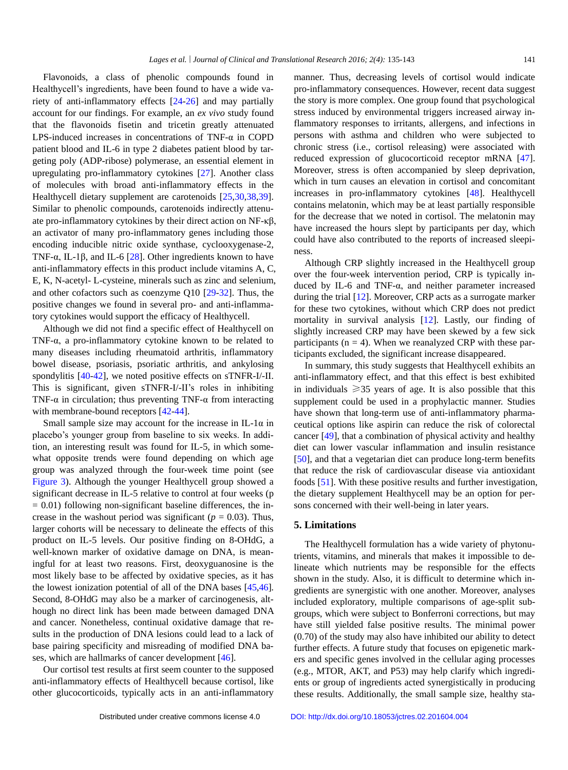Flavonoids, a class of phenolic compounds found in Healthycell's ingredients, have been found to have a wide variety of anti-inflammatory effects [\[24-](#page-8-2)[26\]](#page-8-3) and may partially account for our findings. For example, an *ex vivo* study found that the flavonoids fisetin and tricetin greatly attenuated LPS-induced increases in concentrations of TNF-α in COPD patient blood and IL-6 in type 2 diabetes patient blood by targeting poly (ADP-ribose) polymerase, an essential element in upregulating pro-inflammatory cytokines [\[27\]](#page-8-4). Another class of molecules with broad anti-inflammatory effects in the Healthycell dietary supplement are carotenoids [\[25,](#page-8-13)[30](#page-8-14)[,38](#page-8-15)[,39\]](#page-8-16). Similar to phenolic compounds, carotenoids indirectly attenuate pro-inflammatory cytokines by their direct action on NF-κβ, an activator of many pro-inflammatory genes including those encoding inducible nitric oxide synthase, cyclooxygenase-2, TNF- $\alpha$ , IL-1 $\beta$ , and IL-6 [\[28\]](#page-8-5). Other ingredients known to have anti-inflammatory effects in this product include vitamins A, C, E, K, N-acetyl- L-cysteine, minerals such as zinc and selenium, and other cofactors such as coenzyme Q10 [\[29-](#page-8-6)[32\]](#page-8-7). Thus, the positive changes we found in several pro- and anti-inflammatory cytokines would support the efficacy of Healthycell.

Although we did not find a specific effect of Healthycell on TNF-α, a pro-inflammatory cytokine known to be related to many diseases including rheumatoid arthritis, inflammatory bowel disease, psoriasis, psoriatic arthritis, and ankylosing spondylitis [\[40-](#page-8-17)[42\]](#page-8-18), we noted positive effects on sTNFR-I/-II. This is significant, given sTNFR-I/-II's roles in inhibiting TNF- $\alpha$  in circulation; thus preventing TNF- $\alpha$  from interacting with membrane-bound receptors [\[42](#page-8-18)[-44\]](#page-8-19).

Small sample size may account for the increase in IL-1 $\alpha$  in placebo's younger group from baseline to six weeks. In addition, an interesting result was found for IL-5, in which somewhat opposite trends were found depending on which age group was analyzed through the four-week time point (see [Figure](#page-4-1) 3). Although the younger Healthycell group showed a significant decrease in IL-5 relative to control at four weeks (p  $= 0.01$ ) following non-significant baseline differences, the increase in the washout period was significant ( $p = 0.03$ ). Thus, larger cohorts will be necessary to delineate the effects of this product on IL-5 levels. Our positive finding on 8-OHdG, a well-known marker of oxidative damage on DNA, is meaningful for at least two reasons. First, deoxyguanosine is the most likely base to be affected by oxidative species, as it has the lowest ionization potential of all of the DNA bases [\[45](#page-8-20)[,46\]](#page-8-21). Second, 8-OHdG may also be a marker of carcinogenesis, although no direct link has been made between damaged DNA and cancer. Nonetheless, continual oxidative damage that results in the production of DNA lesions could lead to a lack of base pairing specificity and misreading of modified DNA bases, which are hallmarks of cancer development [\[46\]](#page-8-21).

Our cortisol test results at first seem counter to the supposed anti-inflammatory effects of Healthycell because cortisol, like other glucocorticoids, typically acts in an anti-inflammatory manner. Thus, decreasing levels of cortisol would indicate pro-inflammatory consequences. However, recent data suggest the story is more complex. One group found that psychological stress induced by environmental triggers increased airway inflammatory responses to irritants, allergens, and infections in persons with asthma and children who were subjected to chronic stress (i.e., cortisol releasing) were associated with reduced expression of glucocorticoid receptor mRNA [\[47\]](#page-8-22). Moreover, stress is often accompanied by sleep deprivation, which in turn causes an elevation in cortisol and concomitant increases in pro-inflammatory cytokines [\[48\]](#page-8-23). Healthycell contains melatonin, which may be at least partially responsible for the decrease that we noted in cortisol. The melatonin may have increased the hours slept by participants per day, which could have also contributed to the reports of increased sleepiness.

Although CRP slightly increased in the Healthycell group over the four-week intervention period, CRP is typically induced by IL-6 and TNF-α, and neither parameter increased during the trial [\[12\]](#page-7-7). Moreover, CRP acts as a surrogate marker for these two cytokines, without which CRP does not predict mortality in survival analysis [\[12\]](#page-7-7). Lastly, our finding of slightly increased CRP may have been skewed by a few sick participants ( $n = 4$ ). When we reanalyzed CRP with these participants excluded, the significant increase disappeared.

In summary, this study suggests that Healthycell exhibits an anti-inflammatory effect, and that this effect is best exhibited in individuals  $\geq$ 35 years of age. It is also possible that this supplement could be used in a prophylactic manner. Studies have shown that long-term use of anti-inflammatory pharmaceutical options like aspirin can reduce the risk of colorectal cancer [\[49\]](#page-8-24), that a combination of physical activity and healthy diet can lower vascular inflammation and insulin resistance [\[50\]](#page-8-25), and that a vegetarian diet can produce long-term benefits that reduce the risk of cardiovascular disease via antioxidant foods [\[51\]](#page-8-26). With these positive results and further investigation, the dietary supplement Healthycell may be an option for persons concerned with their well-being in later years.

#### **5. Limitations**

The Healthycell formulation has a wide variety of phytonutrients, vitamins, and minerals that makes it impossible to delineate which nutrients may be responsible for the effects shown in the study. Also, it is difficult to determine which ingredients are synergistic with one another. Moreover, analyses included exploratory, multiple comparisons of age-split subgroups, which were subject to Bonferroni corrections, but may have still yielded false positive results. The minimal power (0.70) of the study may also have inhibited our ability to detect further effects. A future study that focuses on epigenetic markers and specific genes involved in the cellular aging processes (e.g., MTOR, AKT, and P53) may help clarify which ingredients or group of ingredients acted synergistically in producing these results. Additionally, the small sample size, healthy sta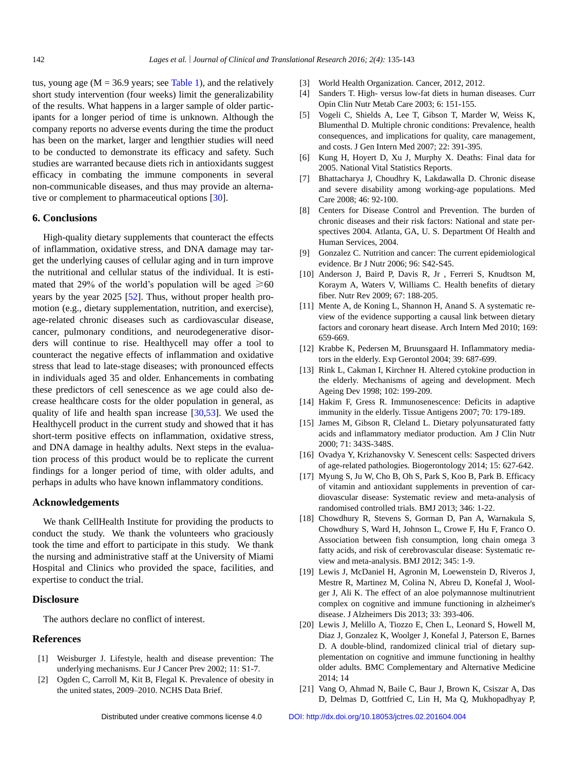tus, young age ( $M = 36.9$  years; se[e Table 1\)](#page-3-0), and the relatively short study intervention (four weeks) limit the generalizability of the results. What happens in a larger sample of older participants for a longer period of time is unknown. Although the company reports no adverse events during the time the product has been on the market, larger and lengthier studies will need to be conducted to demonstrate its efficacy and safety. Such studies are warranted because diets rich in antioxidants suggest efficacy in combating the immune components in several non-communicable diseases, and thus may provide an alterna-tive or complement to pharmaceutical options [\[30\]](#page-8-14).

### **6. Conclusions**

High-quality dietary supplements that counteract the effects of inflammation, oxidative stress, and DNA damage may target the underlying causes of cellular aging and in turn improve the nutritional and cellular status of the individual. It is estimated that 29% of the world's population will be aged  $\geq 60$ years by the year 2025 [\[52\]](#page-8-27). Thus, without proper health promotion (e.g., dietary supplementation, nutrition, and exercise), age-related chronic diseases such as cardiovascular disease, cancer, pulmonary conditions, and neurodegenerative disorders will continue to rise. Healthycell may offer a tool to counteract the negative effects of inflammation and oxidative stress that lead to late-stage diseases; with pronounced effects in individuals aged 35 and older. Enhancements in combating these predictors of cell senescence as we age could also decrease healthcare costs for the older population in general, as quality of life and health span increase [\[30,](#page-8-14)[53\]](#page-8-28). We used the Healthycell product in the current study and showed that it has short-term positive effects on inflammation, oxidative stress, and DNA damage in healthy adults. Next steps in the evaluation process of this product would be to replicate the current findings for a longer period of time, with older adults, and perhaps in adults who have known inflammatory conditions.

#### **Acknowledgements**

We thank CellHealth Institute for providing the products to conduct the study. We thank the volunteers who graciously took the time and effort to participate in this study. We thank the nursing and administrative staff at the University of Miami Hospital and Clinics who provided the space, facilities, and expertise to conduct the trial.

# **Disclosure**

The authors declare no conflict of interest.

### **References**

- <span id="page-7-0"></span>[1] Weisburger J. Lifestyle, health and disease prevention: The underlying mechanisms. Eur J Cancer Prev 2002; 11: S1-7.
- [2] Ogden C, Carroll M, Kit B, Flegal K. Prevalence of obesity in the united states, 2009–2010. NCHS Data Brief.
- [3] World Health Organization. Cancer, 2012, 2012.
- <span id="page-7-1"></span>[4] Sanders T. High- versus low-fat diets in human diseases. Curr Opin Clin Nutr Metab Care 2003; 6: 151-155.
- <span id="page-7-2"></span>[5] Vogeli C, Shields A, Lee T, Gibson T, Marder W, Weiss K, Blumenthal D. Multiple chronic conditions: Prevalence, health consequences, and implications for quality, care management, and costs. J Gen Intern Med 2007; 22: 391-395.
- <span id="page-7-3"></span>[6] Kung H, Hoyert D, Xu J, Murphy X. Deaths: Final data for 2005. National Vital Statistics Reports.
- <span id="page-7-4"></span>[7] Bhattacharya J, Choudhry K, Lakdawalla D. Chronic disease and severe disability among working-age populations. Med Care 2008; 46: 92-100.
- <span id="page-7-5"></span>[8] Centers for Disease Control and Prevention. The burden of chronic diseases and their risk factors: National and state perspectives 2004. Atlanta, GA, U. S. Department Of Health and Human Services, 2004.
- [9] Gonzalez C. Nutrition and cancer: The current epidemiological evidence. Br J Nutr 2006; 96: S42-S45.
- [10] Anderson J, Baird P, Davis R, Jr , Ferreri S, Knudtson M, Koraym A, Waters V, Williams C. Health benefits of dietary fiber. Nutr Rev 2009; 67: 188-205.
- <span id="page-7-6"></span>[11] Mente A, de Koning L, Shannon H, Anand S. A systematic review of the evidence supporting a causal link between dietary factors and coronary heart disease. Arch Intern Med 2010; 169: 659-669.
- <span id="page-7-7"></span>[12] Krabbe K, Pedersen M, Bruunsgaard H. Inflammatory mediators in the elderly. Exp Gerontol 2004; 39: 687-699.
- <span id="page-7-8"></span>[13] Rink L, Cakman I, Kirchner H. Altered cytokine production in the elderly. Mechanisms of ageing and development. Mech Ageing Dev 1998; 102: 199-209.
- <span id="page-7-9"></span>[14] Hakim F, Gress R. Immunosenescence: Deficits in adaptive immunity in the elderly. Tissue Antigens 2007; 70: 179-189.
- <span id="page-7-10"></span>[15] James M, Gibson R, Cleland L. Dietary polyunsaturated fatty acids and inflammatory mediator production. Am J Clin Nutr 2000; 71: 343S-348S.
- <span id="page-7-11"></span>[16] Ovadya Y, Krizhanovsky V. Senescent cells: Saspected drivers of age-related pathologies. Biogerontology 2014; 15: 627-642.
- <span id="page-7-12"></span>[17] Myung S, Ju W, Cho B, Oh S, Park S, Koo B, Park B. Efficacy of vitamin and antioxidant supplements in prevention of cardiovascular disease: Systematic review and meta-analysis of randomised controlled trials. BMJ 2013; 346: 1-22.
- <span id="page-7-13"></span>[18] Chowdhury R, Stevens S, Gorman D, Pan A, Warnakula S, Chowdhury S, Ward H, Johnson L, Crowe F, Hu F, Franco O. Association between fish consumption, long chain omega 3 fatty acids, and risk of cerebrovascular disease: Systematic review and meta-analysis. BMJ 2012; 345: 1-9.
- <span id="page-7-14"></span>[19] Lewis J, McDaniel H, Agronin M, Loewenstein D, Riveros J, Mestre R, Martinez M, Colina N, Abreu D, Konefal J, Woolger J, Ali K. The effect of an aloe polymannose multinutrient complex on cognitive and immune functioning in alzheimer's disease. J Alzheimers Dis 2013; 33: 393-406.
- <span id="page-7-15"></span>[20] Lewis J, Melillo A, Tiozzo E, Chen L, Leonard S, Howell M, Diaz J, Gonzalez K, Woolger J, Konefal J, Paterson E, Barnes D. A double-blind, randomized clinical trial of dietary supplementation on cognitive and immune functioning in healthy older adults. BMC Complementary and Alternative Medicine 2014; 14
- <span id="page-7-16"></span>[21] Vang O, Ahmad N, Baile C, Baur J, Brown K, Csiszar A, Das D, Delmas D, Gottfried C, Lin H, Ma Q, Mukhopadhyay P,

Distributed under creative commons license 4.0 [DOI: http://dx.doi.org/10.18053/jctres.02.201604.004](http://dx.doi.org/10.18053/jctres.02.201604.004)